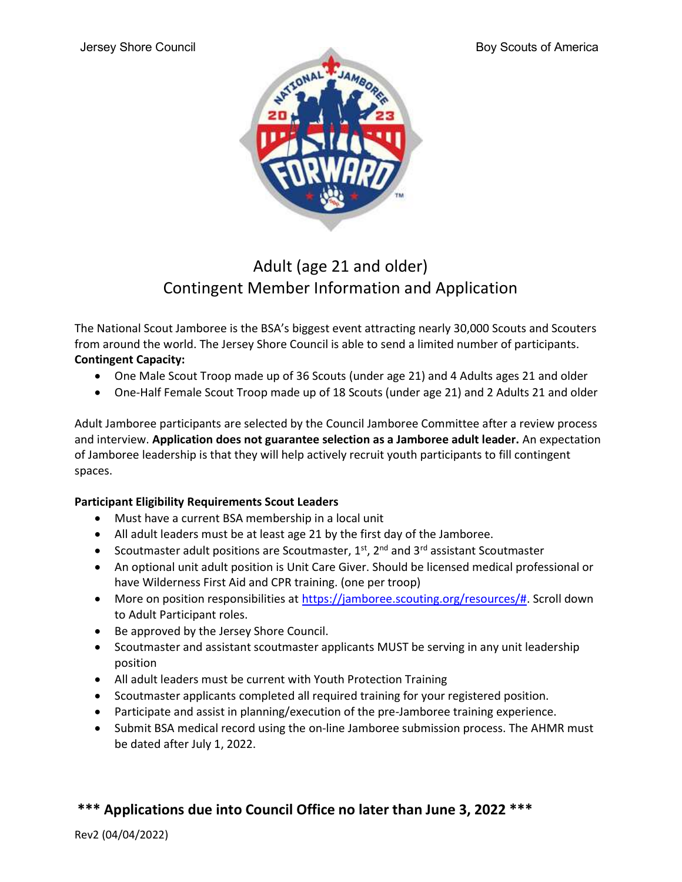

## Adult (age 21 and older) Contingent Member Information and Application

The National Scout Jamboree is the BSA's biggest event attracting nearly 30,000 Scouts and Scouters from around the world. The Jersey Shore Council is able to send a limited number of participants. Contingent Capacity:

- One Male Scout Troop made up of 36 Scouts (under age 21) and 4 Adults ages 21 and older
- One-Half Female Scout Troop made up of 18 Scouts (under age 21) and 2 Adults 21 and older

Adult Jamboree participants are selected by the Council Jamboree Committee after a review process and interview. Application does not guarantee selection as a Jamboree adult leader. An expectation of Jamboree leadership is that they will help actively recruit youth participants to fill contingent spaces.

### Participant Eligibility Requirements Scout Leaders

- Must have a current BSA membership in a local unit
- All adult leaders must be at least age 21 by the first day of the Jamboree.
- Scoutmaster adult positions are Scoutmaster,  $1<sup>st</sup>$ ,  $2<sup>nd</sup>$  and  $3<sup>rd</sup>$  assistant Scoutmaster
- An optional unit adult position is Unit Care Giver. Should be licensed medical professional or have Wilderness First Aid and CPR training. (one per troop)
- More on position responsibilities at https://jamboree.scouting.org/resources/#. Scroll down to Adult Participant roles.
- Be approved by the Jersey Shore Council.
- Scoutmaster and assistant scoutmaster applicants MUST be serving in any unit leadership position
- All adult leaders must be current with Youth Protection Training
- Scoutmaster applicants completed all required training for your registered position.
- Participate and assist in planning/execution of the pre-Jamboree training experience.
- Submit BSA medical record using the on-line Jamboree submission process. The AHMR must be dated after July 1, 2022.

### \*\*\* Applications due into Council Office no later than June 3, 2022 \*\*\*

Rev2 (04/04/2022)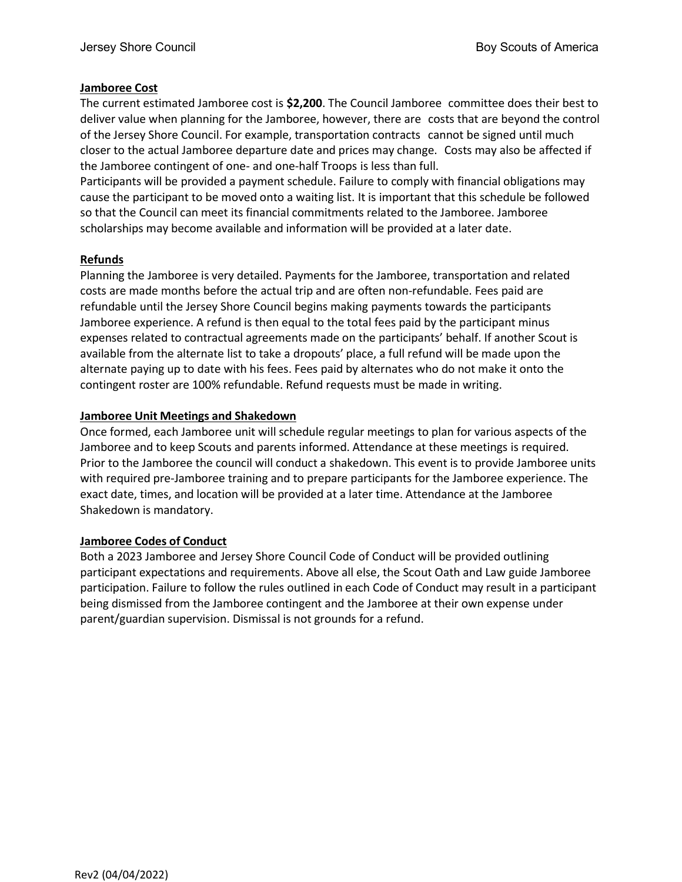### Jamboree Cost

The current estimated Jamboree cost is \$2,200. The Council Jamboree committee does their best to deliver value when planning for the Jamboree, however, there are costs that are beyond the control of the Jersey Shore Council. For example, transportation contracts cannot be signed until much closer to the actual Jamboree departure date and prices may change. Costs may also be affected if the Jamboree contingent of one- and one-half Troops is less than full.

Participants will be provided a payment schedule. Failure to comply with financial obligations may cause the participant to be moved onto a waiting list. It is important that this schedule be followed so that the Council can meet its financial commitments related to the Jamboree. Jamboree scholarships may become available and information will be provided at a later date.

### Refunds

Planning the Jamboree is very detailed. Payments for the Jamboree, transportation and related costs are made months before the actual trip and are often non-refundable. Fees paid are refundable until the Jersey Shore Council begins making payments towards the participants Jamboree experience. A refund is then equal to the total fees paid by the participant minus expenses related to contractual agreements made on the participants' behalf. If another Scout is available from the alternate list to take a dropouts' place, a full refund will be made upon the alternate paying up to date with his fees. Fees paid by alternates who do not make it onto the contingent roster are 100% refundable. Refund requests must be made in writing.

### Jamboree Unit Meetings and Shakedown

Once formed, each Jamboree unit will schedule regular meetings to plan for various aspects of the Jamboree and to keep Scouts and parents informed. Attendance at these meetings is required. Prior to the Jamboree the council will conduct a shakedown. This event is to provide Jamboree units with required pre-Jamboree training and to prepare participants for the Jamboree experience. The exact date, times, and location will be provided at a later time. Attendance at the Jamboree Shakedown is mandatory.

### Jamboree Codes of Conduct

Both a 2023 Jamboree and Jersey Shore Council Code of Conduct will be provided outlining participant expectations and requirements. Above all else, the Scout Oath and Law guide Jamboree participation. Failure to follow the rules outlined in each Code of Conduct may result in a participant being dismissed from the Jamboree contingent and the Jamboree at their own expense under parent/guardian supervision. Dismissal is not grounds for a refund.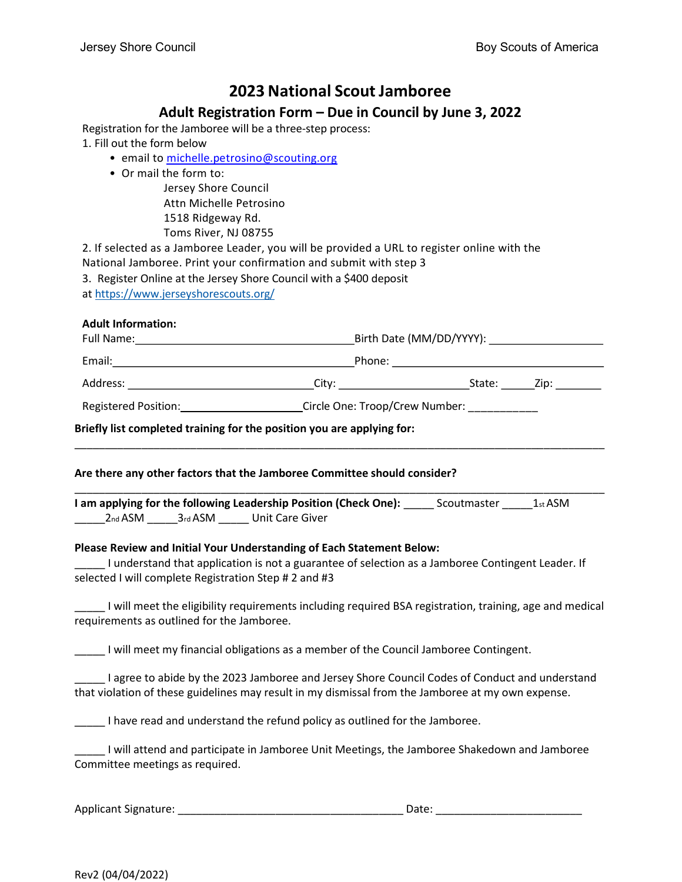## 2023 National Scout Jamboree

### Adult Registration Form – Due in Council by June 3, 2022

Registration for the Jamboree will be a three-step process:

1. Fill out the form below

- email to michelle.petrosino@scouting.org
- Or mail the form to:

Jersey Shore Council Attn Michelle Petrosino 1518 Ridgeway Rd. Toms River, NJ 08755

2. If selected as a Jamboree Leader, you will be provided a URL to register online with the National Jamboree. Print your confirmation and submit with step 3

- 3. Register Online at the Jersey Shore Council with a \$400 deposit
- at https://www.jerseyshorescouts.org/

### Adult Information:

| Full Name:                            | Birth Date (MM/DD/YYYY): National Assembly Property of the Material Assembly |             |
|---------------------------------------|------------------------------------------------------------------------------|-------------|
| Email:                                | Phone:                                                                       |             |
| Address: ____________________________ | City: ________________________                                               | State: Zip: |
| <b>Registered Position:</b>           | Circle One: Troop/Crew Number:                                               |             |

\_\_\_\_\_\_\_\_\_\_\_\_\_\_\_\_\_\_\_\_\_\_\_\_\_\_\_\_\_\_\_\_\_\_\_\_\_\_\_\_\_\_\_\_\_\_\_\_\_\_\_\_\_\_\_\_\_\_\_\_\_\_\_\_\_\_\_\_\_\_\_\_\_\_\_\_\_\_\_\_\_\_\_\_\_\_\_

\_\_\_\_\_\_\_\_\_\_\_\_\_\_\_\_\_\_\_\_\_\_\_\_\_\_\_\_\_\_\_\_\_\_\_\_\_\_\_\_\_\_\_\_\_\_\_\_\_\_\_\_\_\_\_\_\_\_\_\_\_\_\_\_\_\_\_\_\_\_\_\_\_\_\_\_\_\_\_\_\_\_\_\_\_\_\_

Briefly list completed training for the position you are applying for:

### Are there any other factors that the Jamboree Committee should consider?

I am applying for the following Leadership Position (Check One): \_\_\_\_\_\_ Scoutmaster \_\_\_\_\_\_ 1st ASM \_\_\_\_\_2nd ASM \_\_\_\_\_3rd ASM \_\_\_\_\_ Unit Care Giver

### Please Review and Initial Your Understanding of Each Statement Below:

\_\_\_\_\_ I understand that application is not a guarantee of selection as a Jamboree Contingent Leader. If selected I will complete Registration Step # 2 and #3

\_\_\_\_\_ I will meet the eligibility requirements including required BSA registration, training, age and medical requirements as outlined for the Jamboree.

\_\_\_\_\_ I will meet my financial obligations as a member of the Council Jamboree Contingent.

\_\_\_\_\_ I agree to abide by the 2023 Jamboree and Jersey Shore Council Codes of Conduct and understand that violation of these guidelines may result in my dismissal from the Jamboree at my own expense.

\_\_\_\_\_ I have read and understand the refund policy as outlined for the Jamboree.

\_\_\_\_\_ I will attend and participate in Jamboree Unit Meetings, the Jamboree Shakedown and Jamboree Committee meetings as required.

Applicant Signature:  $\Box$  and  $\Box$   $\Box$  Date:  $\Box$  Date:  $\Box$